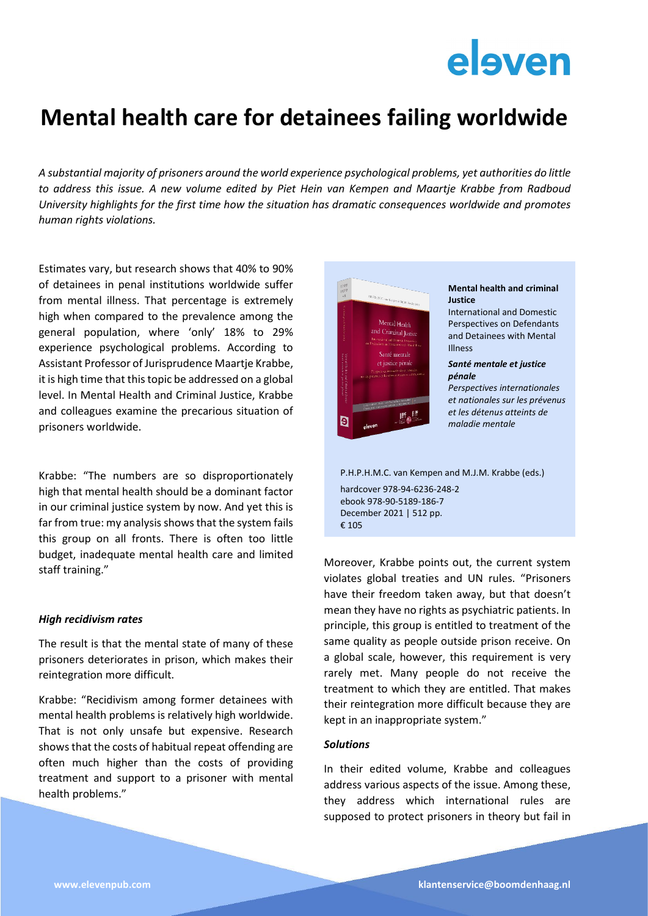# elsven

### **Mental health care for detainees failing worldwide**

*A substantial majority of prisoners around the world experience psychological problems, yet authorities do little to address this issue. A new volume edited by Piet Hein van Kempen and Maartje Krabbe from Radboud University highlights for the first time how the situation has dramatic consequences worldwide and promotes human rights violations.*

Estimates vary, but research shows that 40% to 90% of detainees in penal institutions worldwide suffer from mental illness. That percentage is extremely high when compared to the prevalence among the general population, where 'only' 18% to 29% experience psychological problems. According to Assistant Professor of Jurisprudence Maartje Krabbe, it is high time that this topic be addressed on a global level. In Mental Health and Criminal Justice, Krabbe and colleagues examine the precarious situation of prisoners worldwide.

Krabbe: "The numbers are so disproportionately high that mental health should be a dominant factor in our criminal justice system by now. And yet this is far from true: my analysis shows that the system fails this group on all fronts. There is often too little budget, inadequate mental health care and limited staff training."

#### *High recidivism rates*

The result is that the mental state of many of these prisoners deteriorates in prison, which makes their reintegration more difficult.

Krabbe: "Recidivism among former detainees with mental health problems is relatively high worldwide. That is not only unsafe but expensive. Research shows that the costs of habitual repeat offending are often much higher than the costs of providing treatment and support to a prisoner with mental health problems."



December 2021 | 512 pp. € 105

Moreover, Krabbe points out, the current system violates global treaties and UN rules. "Prisoners have their freedom taken away, but that doesn't mean they have no rights as psychiatric patients. In principle, this group is entitled to treatment of the same quality as people outside prison receive. On a global scale, however, this requirement is very rarely met. Many people do not receive the treatment to which they are entitled. That makes their reintegration more difficult because they are kept in an inappropriate system."

#### *Solutions*

In their edited volume, Krabbe and colleagues address various aspects of the issue. Among these, they address which international rules are supposed to protect prisoners in theory but fail in